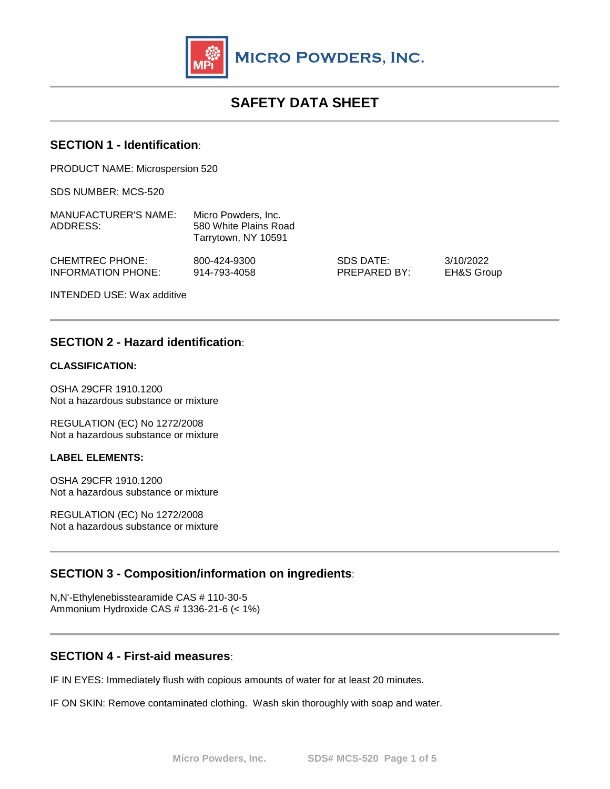

# **SAFETY DATA SHEET**

#### **SECTION 1 - Identification**:

PRODUCT NAME: Microspersion 520

SDS NUMBER: MCS-520

| <b>MANUFACTURER'S NAME:</b><br>ADDRESS: | Micro Powders. Inc.<br>580 White Plains Road<br>Tarrytown, NY 10591 |              |            |
|-----------------------------------------|---------------------------------------------------------------------|--------------|------------|
| <b>CHEMTREC PHONE:</b>                  | 800-424-9300                                                        | SDS DATE:    | 3/10/2022  |
| INFORMATION PHONE:                      | 914-793-4058                                                        | PREPARED BY: | EH&S Group |

INTENDED USE: Wax additive

## **SECTION 2 - Hazard identification**:

#### **CLASSIFICATION:**

OSHA 29CFR 1910.1200 Not a hazardous substance or mixture

REGULATION (EC) No 1272/2008 Not a hazardous substance or mixture

#### **LABEL ELEMENTS:**

OSHA 29CFR 1910.1200 Not a hazardous substance or mixture

REGULATION (EC) No 1272/2008 Not a hazardous substance or mixture

# **SECTION 3 - Composition/information on ingredients**:

N,N'-Ethylenebisstearamide CAS # 110-30-5 Ammonium Hydroxide CAS # 1336-21-6 (< 1%)

#### **SECTION 4 - First-aid measures**:

IF IN EYES: Immediately flush with copious amounts of water for at least 20 minutes.

IF ON SKIN: Remove contaminated clothing. Wash skin thoroughly with soap and water.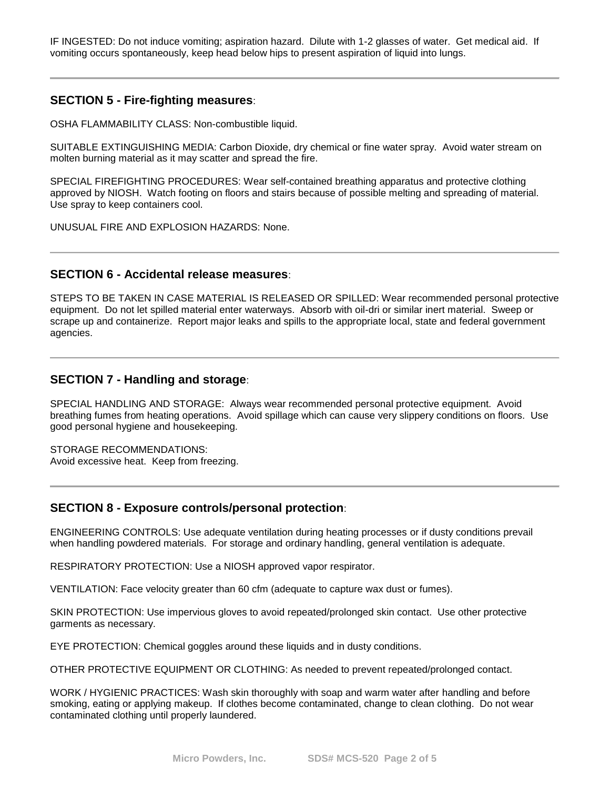IF INGESTED: Do not induce vomiting; aspiration hazard. Dilute with 1-2 glasses of water. Get medical aid. If vomiting occurs spontaneously, keep head below hips to present aspiration of liquid into lungs.

# **SECTION 5 - Fire-fighting measures**:

OSHA FLAMMABILITY CLASS: Non-combustible liquid.

SUITABLE EXTINGUISHING MEDIA: Carbon Dioxide, dry chemical or fine water spray. Avoid water stream on molten burning material as it may scatter and spread the fire.

SPECIAL FIREFIGHTING PROCEDURES: Wear self-contained breathing apparatus and protective clothing approved by NIOSH. Watch footing on floors and stairs because of possible melting and spreading of material. Use spray to keep containers cool.

UNUSUAL FIRE AND EXPLOSION HAZARDS: None.

#### **SECTION 6 - Accidental release measures**:

STEPS TO BE TAKEN IN CASE MATERIAL IS RELEASED OR SPILLED: Wear recommended personal protective equipment. Do not let spilled material enter waterways. Absorb with oil-dri or similar inert material. Sweep or scrape up and containerize. Report major leaks and spills to the appropriate local, state and federal government agencies.

#### **SECTION 7 - Handling and storage**:

SPECIAL HANDLING AND STORAGE: Always wear recommended personal protective equipment. Avoid breathing fumes from heating operations. Avoid spillage which can cause very slippery conditions on floors. Use good personal hygiene and housekeeping.

STORAGE RECOMMENDATIONS: Avoid excessive heat. Keep from freezing.

#### **SECTION 8 - Exposure controls/personal protection**:

ENGINEERING CONTROLS: Use adequate ventilation during heating processes or if dusty conditions prevail when handling powdered materials. For storage and ordinary handling, general ventilation is adequate.

RESPIRATORY PROTECTION: Use a NIOSH approved vapor respirator.

VENTILATION: Face velocity greater than 60 cfm (adequate to capture wax dust or fumes).

SKIN PROTECTION: Use impervious gloves to avoid repeated/prolonged skin contact. Use other protective garments as necessary.

EYE PROTECTION: Chemical goggles around these liquids and in dusty conditions.

OTHER PROTECTIVE EQUIPMENT OR CLOTHING: As needed to prevent repeated/prolonged contact.

WORK / HYGIENIC PRACTICES: Wash skin thoroughly with soap and warm water after handling and before smoking, eating or applying makeup. If clothes become contaminated, change to clean clothing. Do not wear contaminated clothing until properly laundered.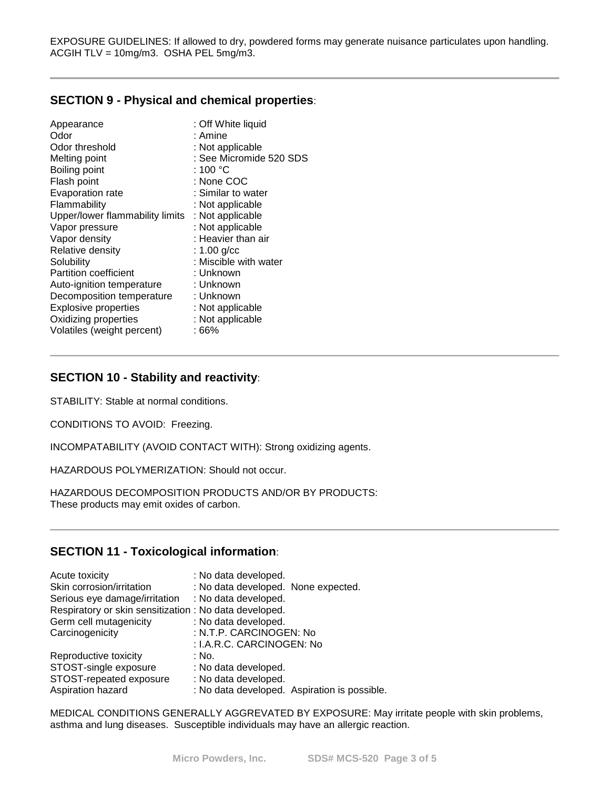EXPOSURE GUIDELINES: If allowed to dry, powdered forms may generate nuisance particulates upon handling. ACGIH TLV = 10mg/m3. OSHA PEL 5mg/m3.

#### **SECTION 9 - Physical and chemical properties**:

| Appearance                      | : Off White liquid      |
|---------------------------------|-------------------------|
| Odor                            | : Amine                 |
| Odor threshold                  | : Not applicable        |
| Melting point                   | : See Micromide 520 SDS |
| Boiling point                   | : 100 $^{\circ}$ C      |
| Flash point                     | : None COC              |
| <b>Evaporation rate</b>         | : Similar to water      |
| Flammability                    | : Not applicable        |
| Upper/lower flammability limits | : Not applicable        |
| Vapor pressure                  | : Not applicable        |
| Vapor density                   | : Heavier than air      |
| Relative density                | : $1.00$ g/cc           |
| Solubility                      | : Miscible with water   |
| <b>Partition coefficient</b>    | : Unknown               |
| Auto-ignition temperature       | : Unknown               |
| Decomposition temperature       | : Unknown               |
| <b>Explosive properties</b>     | : Not applicable        |
| Oxidizing properties            | : Not applicable        |
| Volatiles (weight percent)      | : 66%                   |
|                                 |                         |

## **SECTION 10 - Stability and reactivity**:

STABILITY: Stable at normal conditions.

CONDITIONS TO AVOID: Freezing.

INCOMPATABILITY (AVOID CONTACT WITH): Strong oxidizing agents.

HAZARDOUS POLYMERIZATION: Should not occur.

HAZARDOUS DECOMPOSITION PRODUCTS AND/OR BY PRODUCTS: These products may emit oxides of carbon.

## **SECTION 11 - Toxicological information**:

| Acute toxicity                                         | : No data developed.                         |
|--------------------------------------------------------|----------------------------------------------|
| Skin corrosion/irritation                              | : No data developed. None expected.          |
| Serious eye damage/irritation                          | : No data developed.                         |
| Respiratory or skin sensitization : No data developed. |                                              |
| Germ cell mutagenicity                                 | : No data developed.                         |
| Carcinogenicity                                        | : N.T.P. CARCINOGEN: No                      |
|                                                        | : I.A.R.C. CARCINOGEN: No                    |
| Reproductive toxicity                                  | : No.                                        |
| STOST-single exposure                                  | : No data developed.                         |
| STOST-repeated exposure                                | : No data developed.                         |
| Aspiration hazard                                      | : No data developed. Aspiration is possible. |

MEDICAL CONDITIONS GENERALLY AGGREVATED BY EXPOSURE: May irritate people with skin problems, asthma and lung diseases. Susceptible individuals may have an allergic reaction.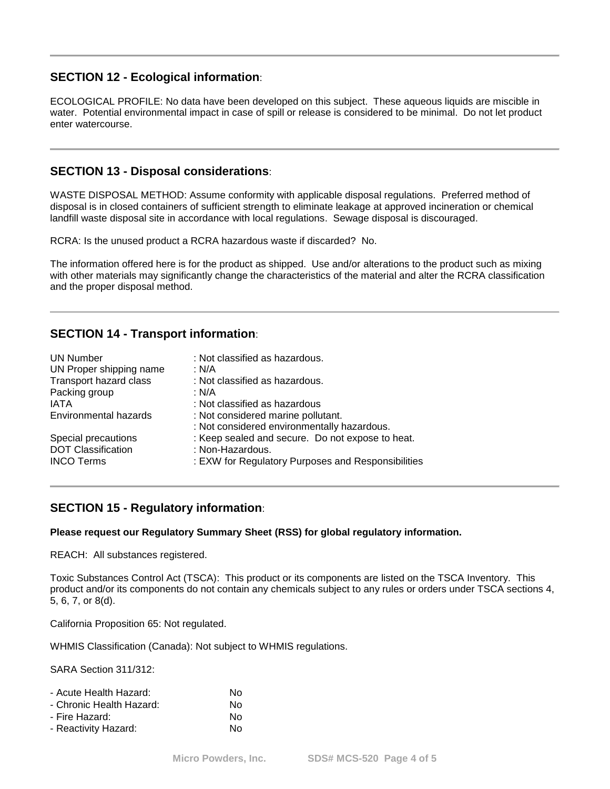# **SECTION 12 - Ecological information**:

ECOLOGICAL PROFILE: No data have been developed on this subject. These aqueous liquids are miscible in water. Potential environmental impact in case of spill or release is considered to be minimal. Do not let product enter watercourse.

#### **SECTION 13 - Disposal considerations**:

WASTE DISPOSAL METHOD: Assume conformity with applicable disposal regulations. Preferred method of disposal is in closed containers of sufficient strength to eliminate leakage at approved incineration or chemical landfill waste disposal site in accordance with local regulations. Sewage disposal is discouraged.

RCRA: Is the unused product a RCRA hazardous waste if discarded? No.

The information offered here is for the product as shipped. Use and/or alterations to the product such as mixing with other materials may significantly change the characteristics of the material and alter the RCRA classification and the proper disposal method.

## **SECTION 14 - Transport information**:

| <b>UN Number</b>              | : Not classified as hazardous.                     |
|-------------------------------|----------------------------------------------------|
| UN Proper shipping name       | : N/A                                              |
| <b>Transport hazard class</b> | : Not classified as hazardous.                     |
| Packing group                 | : N/A                                              |
| IATA                          | : Not classified as hazardous                      |
| <b>Environmental hazards</b>  | : Not considered marine pollutant.                 |
|                               | : Not considered environmentally hazardous.        |
| Special precautions           | : Keep sealed and secure. Do not expose to heat.   |
| <b>DOT Classification</b>     | : Non-Hazardous.                                   |
| <b>INCO Terms</b>             | : EXW for Regulatory Purposes and Responsibilities |
|                               |                                                    |

#### **SECTION 15 - Regulatory information**:

#### **Please request our Regulatory Summary Sheet (RSS) for global regulatory information.**

REACH: All substances registered.

Toxic Substances Control Act (TSCA): This product or its components are listed on the TSCA Inventory. This product and/or its components do not contain any chemicals subject to any rules or orders under TSCA sections 4, 5, 6, 7, or 8(d).

California Proposition 65: Not regulated.

WHMIS Classification (Canada): Not subject to WHMIS regulations.

SARA Section 311/312:

| - Acute Health Hazard:   | N٥ |
|--------------------------|----|
| - Chronic Health Hazard: | N٥ |
| - Fire Hazard:           | N٥ |
| - Reactivity Hazard:     | N٥ |